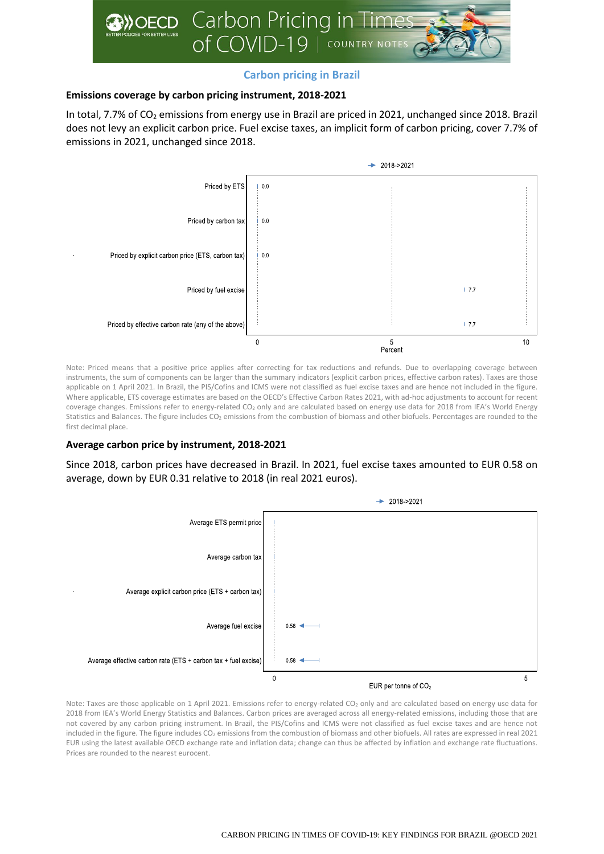

# **Carbon pricing in Brazil**

## **Emissions coverage by carbon pricing instrument, 2018-2021**

In total, 7.7% of  $CO<sub>2</sub>$  emissions from energy use in Brazil are priced in 2021, unchanged since 2018. Brazil does not levy an explicit carbon price. Fuel excise taxes, an implicit form of carbon pricing, cover 7.7% of emissions in 2021, unchanged since 2018.



Note: Priced means that a positive price applies after correcting for tax reductions and refunds. Due to overlapping coverage between instruments, the sum of components can be larger than the summary indicators (explicit carbon prices, effective carbon rates). Taxes are those applicable on 1 April 2021. In Brazil, the PIS/Cofins and ICMS were not classified as fuel excise taxes and are hence not included in the figure. Where applicable, ETS coverage estimates are based on the OECD's Effective Carbon Rates 2021, with ad-hoc adjustments to account for recent coverage changes. Emissions refer to energy-related CO<sub>2</sub> only and are calculated based on energy use data for 2018 from IEA's World Energy Statistics and Balances. The figure includes  $CO<sub>2</sub>$  emissions from the combustion of biomass and other biofuels. Percentages are rounded to the first decimal place.

### **Average carbon price by instrument, 2018-2021**

Since 2018, carbon prices have decreased in Brazil. In 2021, fuel excise taxes amounted to EUR 0.58 on average, down by EUR 0.31 relative to 2018 (in real 2021 euros).



Note: Taxes are those applicable on 1 April 2021. Emissions refer to energy-related CO<sub>2</sub> only and are calculated based on energy use data for 2018 from IEA's World Energy Statistics and Balances. Carbon prices are averaged across all energy-related emissions, including those that are not covered by any carbon pricing instrument. In Brazil, the PIS/Cofins and ICMS were not classified as fuel excise taxes and are hence not included in the figure. The figure includes CO<sub>2</sub> emissions from the combustion of biomass and other biofuels. All rates are expressed in real 2021 EUR using the latest available OECD exchange rate and inflation data; change can thus be affected by inflation and exchange rate fluctuations. Prices are rounded to the nearest eurocent.